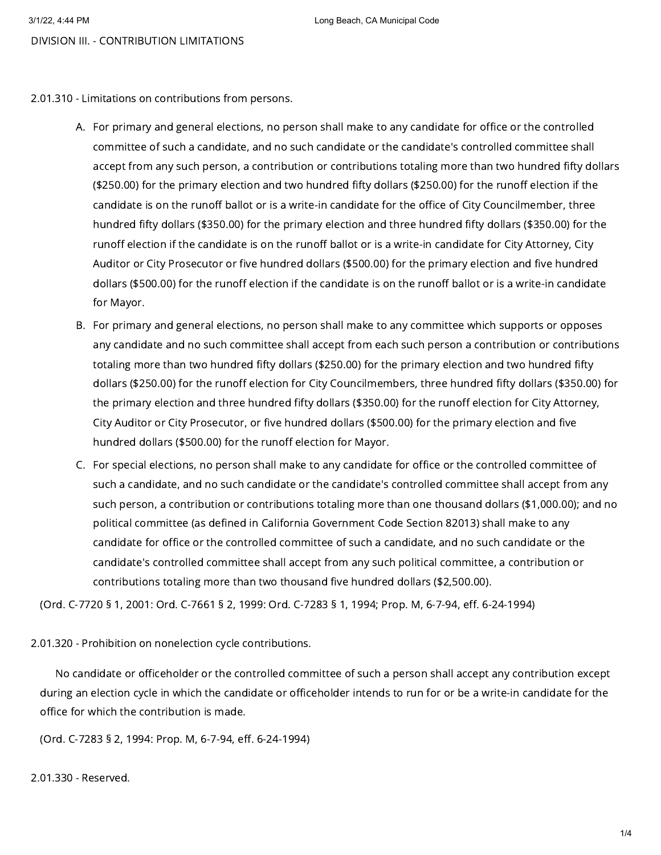2.01.310 - Limitations on contributions from persons.

- A. For primary and general elections, no person shall make to any candidate for office or the controlled committee of such a candidate, and no such candidate or the candidate's controlled committee shall accept from any such person, a contribution or contributions totaling more than two hundred fifty dollars (\$250.00) for the primary election and two hundred fifty dollars (\$250.00) for the runoff election if the candidate is on the runoff ballot or is a write-in candidate for the office of City Councilmember, three hundred fifty dollars (\$350.00) for the primary election and three hundred fifty dollars (\$350.00) for the runoff election if the candidate is on the runoff ballot or is a write-in candidate for City Attorney, City Auditor or City Prosecutor or five hundred dollars (\$500.00) for the primary election and five hundred dollars (\$500.00) for the runoff election if the candidate is on the runoff ballot or is a write-in candidate for Mayor.
- B. For primary and general elections, no person shall make to any committee which supports or opposes any candidate and no such committee shall accept from each such person a contribution or contributions totaling more than two hundred fifty dollars (\$250.00) for the primary election and two hundred fifty dollars (\$250.00) for the runoff election for City Councilmembers, three hundred fifty dollars (\$350.00) for the primary election and three hundred fifty dollars (\$350.00) for the runoff election for City Attorney, City Auditor or City Prosecutor, or five hundred dollars (\$500.00) for the primary election and five hundred dollars (\$500.00) for the runoff election for Mayor.
- C. For special elections, no person shall make to any candidate for office or the controlled committee of such a candidate, and no such candidate or the candidate's controlled committee shall accept from any such person, a contribution or contributions totaling more than one thousand dollars (\$1,000.00); and no political committee (as defined in California Government Code Section 82013) shall make to any candidate for office or the controlled committee of such a candidate, and no such candidate or the candidate's controlled committee shall accept from any such political committee, a contribution or contributions totaling more than two thousand five hundred dollars (\$2,500.00).

(Ord. C-7720 § 1, 2001: Ord. C-7661 § 2, 1999: Ord. C-7283 § 1, 1994; Prop. M, 6-7-94, eff. 6-24-1994)

# 2.01.320 - Prohibition on nonelection cycle contributions.

No candidate or officeholder or the controlled committee of such a person shall accept any contribution except during an election cycle in which the candidate or officeholder intends to run for or be a write-in candidate for the office for which the contribution is made.

(Ord. C-7283 § 2, 1994: Prop. M, 6-7-94, eff. 6-24-1994)

2.01.330 - Reserved.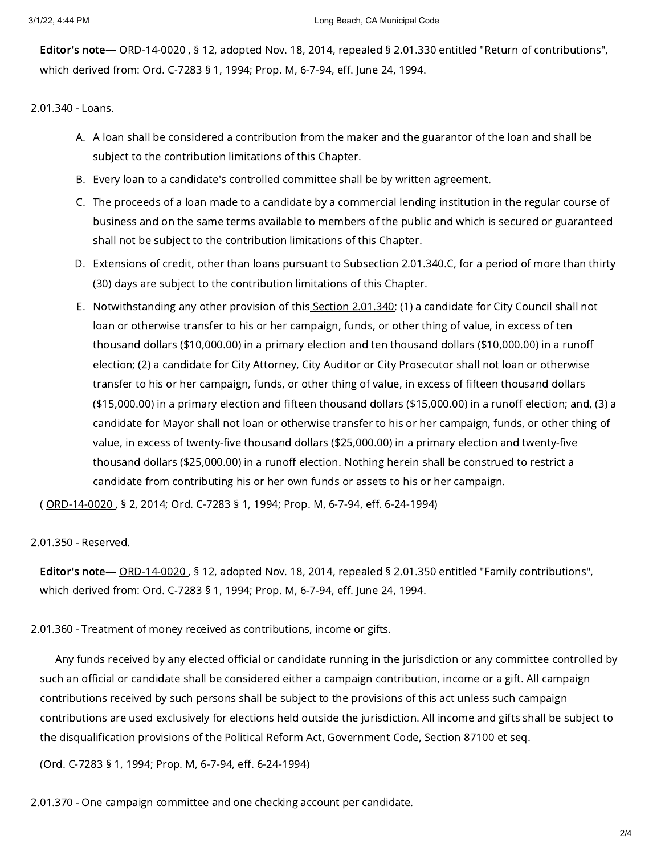Editor's note— [ORD-14-0020](https://library.municode.com/) , § 12, adopted Nov. 18, 2014, repealed § 2.01.330 entitled "Return of contributions", which derived from: Ord. C-7283 § 1, 1994; Prop. M, 6-7-94, eff. June 24, 1994.

2.01.340 - Loans.

- A. A loan shall be considered a contribution from the maker and the guarantor of the loan and shall be subject to the contribution limitations of this Chapter.
- B. Every loan to a candidate's controlled committee shall be by written agreement.
- C. The proceeds of a loan made to a candidate by a commercial lending institution in the regular course of business and on the same terms available to members of the public and which is secured or guaranteed shall not be subject to the contribution limitations of this Chapter.
- D. Extensions of credit, other than loans pursuant to Subsection 2.01.340.C, for a period of more than thirty (30) days are subject to the contribution limitations of this Chapter.
- E. Notwithstanding any other provision of this<u> Section 2.01.340</u>: (1) a candidate for City Council shall not loan or otherwise transfer to his or her campaign, funds, or other thing of value, in excess of ten thousand dollars (\$10,000.00) in a primary election and ten thousand dollars (\$10,000.00) in a runoff election; (2) a candidate for City Attorney, City Auditor or City Prosecutor shall not loan or otherwise transfer to his or her campaign, funds, or other thing of value, in excess of fifteen thousand dollars (\$15,000.00) in a primary election and fifteen thousand dollars (\$15,000.00) in a runoff election; and, (3) a candidate for Mayor shall not loan or otherwise transfer to his or her campaign, funds, or other thing of value, in excess of twenty-five thousand dollars (\$25,000.00) in a primary election and twenty-five thousand dollars (\$25,000.00) in a runoff election. Nothing herein shall be construed to restrict a candidate from contributing his or her own funds or assets to his or her campaign.

( [ORD-14-0020](https://library.municode.com/) , § 2, 2014; Ord. C-7283 § 1, 1994; Prop. M, 6-7-94, eff. 6-24-1994)

2.01.350 - Reserved.

Editor's note— [ORD-14-0020](https://library.municode.com/) , § 12, adopted Nov. 18, 2014, repealed § 2.01.350 entitled "Family contributions", which derived from: Ord. C-7283 § 1, 1994; Prop. M, 6-7-94, eff. June 24, 1994.

2.01.360 - Treatment of money received as contributions, income or gifts.

Any funds received by any elected official or candidate running in the jurisdiction or any committee controlled by such an official or candidate shall be considered either a campaign contribution, income or a gift. All campaign contributions received by such persons shall be subject to the provisions of this act unless such campaign contributions are used exclusively for elections held outside the jurisdiction. All income and gifts shall be subject to the disqualification provisions of the Political Reform Act, Government Code, Section 87100 et seq.

(Ord. C-7283 § 1, 1994; Prop. M, 6-7-94, eff. 6-24-1994)

2.01.370 - One campaign committee and one checking account per candidate.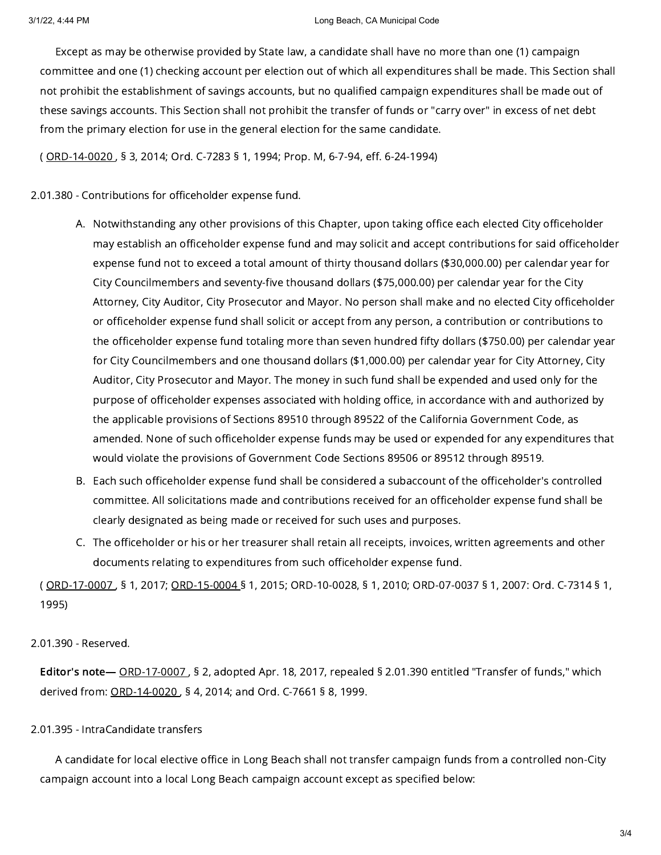#### 3/1/22, 4:44 PM Long Beach, CA Municipal Code

Except as may be otherwise provided by State law, a candidate shall have no more than one (1) campaign committee and one (1) checking account per election out of which all expenditures shall be made. This Section shall not prohibit the establishment of savings accounts, but no qualified campaign expenditures shall be made out of these savings accounts. This Section shall not prohibit the transfer of funds or "carry over" in excess of net debt from the primary election for use in the general election for the same candidate.

( [ORD-14-0020](https://library.municode.com/) , § 3, 2014; Ord. C-7283 § 1, 1994; Prop. M, 6-7-94, eff. 6-24-1994)

## 2.01.380 - Contributions for officeholder expense fund.

- A. Notwithstanding any other provisions of this Chapter, upon taking office each elected City officeholder may establish an officeholder expense fund and may solicit and accept contributions for said officeholder expense fund not to exceed a total amount of thirty thousand dollars (\$30,000.00) per calendar year for City Councilmembers and seventy-five thousand dollars (\$75,000.00) per calendar year for the City Attorney, City Auditor, City Prosecutor and Mayor. No person shall make and no elected City officeholder or officeholder expense fund shall solicit or accept from any person, a contribution or contributions to the officeholder expense fund totaling more than seven hundred fifty dollars (\$750.00) per calendar year for City Councilmembers and one thousand dollars (\$1,000.00) per calendar year for City Attorney, City Auditor, City Prosecutor and Mayor. The money in such fund shall be expended and used only for the purpose of officeholder expenses associated with holding office, in accordance with and authorized by the applicable provisions of Sections 89510 through 89522 of the California Government Code, as amended. None of such officeholder expense funds may be used or expended for any expenditures that would violate the provisions of Government Code Sections 89506 or 89512 through 89519.
- B. Each such officeholder expense fund shall be considered a subaccount of the officeholder's controlled committee. All solicitations made and contributions received for an officeholder expense fund shall be clearly designated as being made or received for such uses and purposes.
- C. The officeholder or his or her treasurer shall retain all receipts, invoices, written agreements and other documents relating to expenditures from such officeholder expense fund.

( [ORD-17-0007](https://library.municode.com/) , § 1, 2017; [ORD-15-0004](https://library.municode.com/) § 1, 2015; ORD-10-0028, § 1, 2010; ORD-07-0037 § 1, 2007: Ord. C-7314 § 1, 1995)

### 2.01.390 - Reserved.

Editor's note— [ORD-17-0007](https://library.municode.com/) , § 2, adopted Apr. 18, 2017, repealed § 2.01.390 entitled "Transfer of funds," which derived from: [ORD-14-0020](https://library.municode.com/) , § 4, 2014; and Ord. C-7661 § 8, 1999.

# 2.01.395 - IntraCandidate transfers

A candidate for local elective office in Long Beach shall not transfer campaign funds from a controlled non-City campaign account into a local Long Beach campaign account except as specified below: